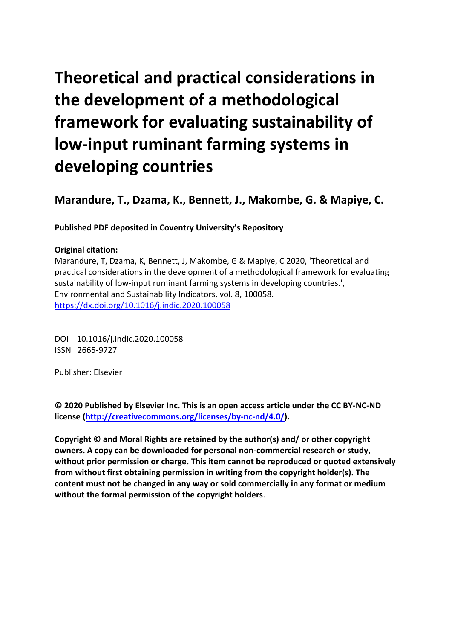# **Theoretical and practical considerations in the development of a methodological framework for evaluating sustainability of low-input ruminant farming systems in developing countries**

**Marandure, T., Dzama, K., Bennett, J., Makombe, G. & Mapiye, C.** 

**Published PDF deposited in Coventry University's Repository** 

## **Original citation:**

Marandure, T, Dzama, K, Bennett, J, Makombe, G & Mapiye, C 2020, 'Theoretical and practical considerations in the development of a methodological framework for evaluating sustainability of low-input ruminant farming systems in developing countries.', Environmental and Sustainability Indicators, vol. 8, 100058. https://dx.doi.org/10.1016/j.indic.2020.100058

 DOI 10.1016/j.indic.2020.100058 ISSN 2665-9727

Publisher: Elsevier

**© 2020 Published by Elsevier Inc. This is an open access article under the CC BY-NC-ND license [\(http://creativecommons.org/licenses/by-nc-nd/4.0/\)](http://creativecommons.org/licenses/by-nc-nd/4.0/).** 

**Copyright © and Moral Rights are retained by the author(s) and/ or other copyright owners. A copy can be downloaded for personal non-commercial research or study, without prior permission or charge. This item cannot be reproduced or quoted extensively from without first obtaining permission in writing from the copyright holder(s). The content must not be changed in any way or sold commercially in any format or medium without the formal permission of the copyright holders**.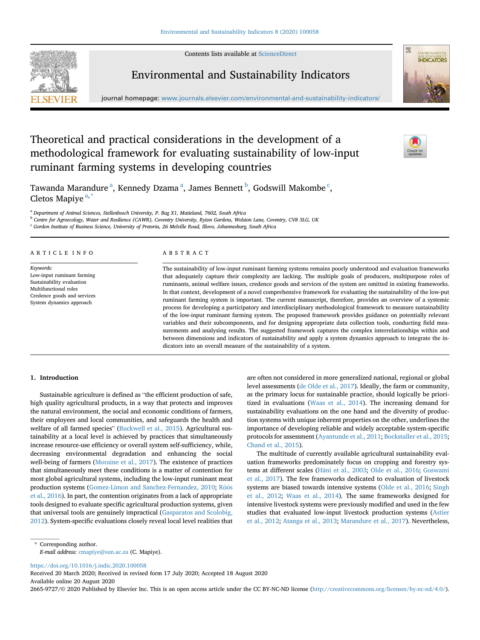Contents lists available at [ScienceDirect](www.sciencedirect.com/science/journal/26659727)







journal homepage: <www.journals.elsevier.com/environmental-and-sustainability-indicators/>

# Theoretical and practical considerations in the development of a methodological framework for evaluating sustainability of low-input ruminant farming systems in developing countries



T[a](#page-1-0)wanda Marandure<sup>a</sup>, Kennedy Dzama<sup>a</sup>, James Bennett<sup>[b](#page-1-1)</sup>, Godswill Makombe<sup>[c](#page-1-2)</sup>, Cletos M[a](#page-1-0)piye<sup>a,[\\*](#page-1-3)</sup>

<span id="page-1-0"></span><sup>a</sup> Department of Animal Sciences, Stellenbosch University, P. Bag X1, Matieland, 7602, South Africa

<span id="page-1-1"></span><sup>b</sup> Centre for Agroecology, Water and Resilience (CAWR), Coventry University, Ryton Gardens, Wolston Lane, Coventry, CV8 3LG, UK

<span id="page-1-2"></span><sup>c</sup> Gordon Institute of Business Science, University of Pretoria, 26 Melville Road, Illovo, Johannesburg, South Africa

#### ARTICLE INFO ABSTRACT

Keywords: Low-input ruminant farming Sustainability evaluation Multifunctional roles Credence goods and services System dynamics approach

The sustainability of low-input ruminant farming systems remains poorly understood and evaluation frameworks that adequately capture their complexity are lacking. The multiple goals of producers, multipurpose roles of ruminants, animal welfare issues, credence goods and services of the system are omitted in existing frameworks. In that context, development of a novel comprehensive framework for evaluating the sustainability of the low-put ruminant farming system is important. The current manuscript, therefore, provides an overview of a systemic process for developing a participatory and interdisciplinary methodological framework to measure sustainability of the low-input ruminant farming system. The proposed framework provides guidance on potentially relevant variables and their subcomponents, and for designing appropriate data collection tools, conducting field measurements and analysing results. The suggested framework captures the complex interrelationships within and between dimensions and indicators of sustainability and apply a system dynamics approach to integrate the indicators into an overall measure of the sustainability of a system.

## 1. Introduction

Sustainable agriculture is defined as "the efficient production of safe, high quality agricultural products, in a way that protects and improves the natural environment, the social and economic conditions of farmers, their employees and local communities, and safeguards the health and welfare of all farmed species" [\(Buckwell](#page-9-0) et al., 2015). Agricultural sustainability at a local level is achieved by practices that simultaneously increase resource-use efficiency or overall system self-sufficiency, while, decreasing environmental degradation and enhancing the social well-being of farmers [\(Moraine](#page-10-0) et al., 2017). The existence of practices that simultaneously meet these conditions is a matter of contention for most global agricultural systems, including the low-input ruminant meat production systems (Gomez-Limon and [Sanchez-Fernandez,](#page-9-1) 2010; Röö[s](#page-10-1) et al., [2016](#page-10-1)). In part, the contention originates from a lack of appropriate tools designed to evaluate specific agricultural production systems, given that universal tools are genuinely impractical [\(Gasparatos](#page-9-2) and Scolobig, [2012\)](#page-9-2). System-specific evaluations closely reveal local level realities that are often not considered in more generalized national, regional or global level assessments (de Olde et al., [2017\)](#page-9-3). Ideally, the farm or community, as the primary locus for sustainable practice, should logically be prioritized in evaluations ([Waas](#page-10-2) et al., 2014). The increasing demand for sustainability evaluations on the one hand and the diversity of production systems with unique inherent properties on the other, underlines the importance of developing reliable and widely acceptable system-specific protocols for assessment [\(Ayantunde](#page-9-4) et al., 2011; [Bockstaller](#page-9-5) et al., 2015; [Chand](#page-9-6) et al., 2015).

The multitude of currently available agricultural sustainability evaluation frameworks predominately focus on cropping and forestry sys-tems at different scales [\(H](#page-9-7)äni et al., [2003;](#page-9-7) Olde et al., [2016](#page-10-3); [Goswami](#page-9-8) et al., [2017](#page-9-8)). The few frameworks dedicated to evaluation of livestock systems are biased towards intensive systems (Olde et al., [2016;](#page-10-3) [Singh](#page-10-4) et al., [2012](#page-10-4); [Waas](#page-10-2) et al., 2014). The same frameworks designed for intensive livestock systems were previously modified and used in the few studies that evaluated low-input livestock production systems [\(Astier](#page-9-9) et al., [2012;](#page-9-9) [Atanga](#page-9-10) et al., 2013; [Marandure](#page-10-5) et al., 2017). Nevertheless,

<https://doi.org/10.1016/j.indic.2020.100058>

Received 20 March 2020; Received in revised form 17 July 2020; Accepted 18 August 2020 Available online 20 August 2020

2665-9727/© 2020 Published by Elsevier Inc. This is an open access article under the CC BY-NC-ND license (<http://creativecommons.org/licenses/by-nc-nd/4.0/>).

<span id="page-1-3"></span><sup>\*</sup> Corresponding author. E-mail address: [cmapiye@sun.ac.za](mailto:cmapiye@sun.ac.za) (C. Mapiye).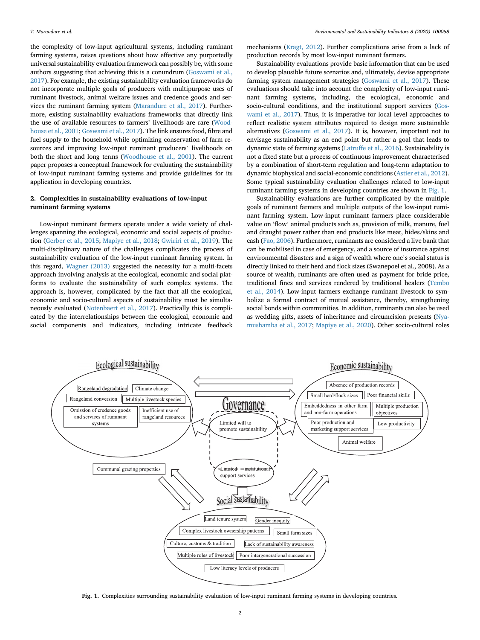the complexity of low-input agricultural systems, including ruminant farming systems, raises questions about how effective any purportedly universal sustainability evaluation framework can possibly be, with some authors suggesting that achieving this is a conundrum [\(Goswami](#page-9-8) et al., [2017\)](#page-9-8). For example, the existing sustainability evaluation frameworks do not incorporate multiple goals of producers with multipurpose uses of ruminant livestock, animal welfare issues and credence goods and services the ruminant farming system ([Marandure](#page-10-5) et al., 2017). Furthermore, existing sustainability evaluations frameworks that directly link the use of available resources to farmers' livelihoods are rare ([Wood](#page-11-0)[house](#page-11-0) et al., 2001; [Goswami](#page-9-8) et al., 2017). The link ensures food, fibre and fuel supply to the household while optimizing conservation of farm resources and improving low-input ruminant producers' livelihoods on both the short and long terms ([Woodhouse](#page-11-0) et al., 2001). The current paper proposes a conceptual framework for evaluating the sustainability of low-input ruminant farming systems and provide guidelines for its application in developing countries.

#### 2. Complexities in sustainability evaluations of low-input ruminant farming systems

Low-input ruminant farmers operate under a wide variety of challenges spanning the ecological, economic and social aspects of production ([Gerber](#page-9-11) et al., 2015; [Mapiye](#page-10-6) et al., 2018; [Gwiriri](#page-9-12) et al., 2019). The multi-disciplinary nature of the challenges complicates the process of sustainability evaluation of the low-input ruminant farming system. In this regard, [Wagner](#page-10-7) (2013) suggested the necessity for a multi-facets approach involving analysis at the ecological, economic and social platforms to evaluate the sustainability of such complex systems. The approach is, however, complicated by the fact that all the ecological, economic and socio-cultural aspects of sustainability must be simultaneously evaluated [\(Notenbaert](#page-10-8) et al., 2017). Practically this is complicated by the interrelationships between the ecological, economic and social components and indicators, including intricate feedback

mechanisms [\(Kragt,](#page-9-13) 2012). Further complications arise from a lack of production records by most low-input ruminant farmers.

Sustainability evaluations provide basic information that can be used to develop plausible future scenarios and, ultimately, devise appropriate farming system management strategies ([Goswami](#page-9-8) et al., 2017). These evaluations should take into account the complexity of low-input ruminant farming systems, including, the ecological, economic and socio-cultural conditions, and the institutional support services [\(Gos](#page-9-8)[wami](#page-9-8) et al., 2017). Thus, it is imperative for local level approaches to reflect realistic system attributes required to design more sustainable alternatives ([Goswami](#page-9-8) et al., 2017). It is, however, important not to envisage sustainability as an end point but rather a goal that leads to dynamic state of farming systems ([Latruffe](#page-9-14) et al., 2016). Sustainability is not a fixed state but a process of continuous improvement characterised by a combination of short-term regulation and long-term adaptation to dynamic biophysical and social-economic conditions [\(Astier](#page-9-9) et al., 2012). Some typical sustainability evaluation challenges related to low-input ruminant farming systems in developing countries are shown in [Fig.](#page-2-0) 1.

Sustainability evaluations are further complicated by the multiple goals of ruminant farmers and multiple outputs of the low-input ruminant farming system. Low-input ruminant farmers place considerable value on 'flow' animal products such as, provision of milk, manure, fuel and draught power rather than end products like meat, hides/skins and cash (Fao, [2006\)](#page-9-15). Furthermore, ruminants are considered a live bank that can be mobilised in case of emergency, and a source of insurance against environmental disasters and <sup>a</sup> sign of wealth where one'<sup>s</sup> social status is directly linked to their herd and flock sizes (Swanepoel et al., 2008). As a source of wealth, ruminants are often used as payment for bride price, traditional fines and services rendered by traditional healers ([Tembo](#page-10-9) et al., [2014](#page-10-9)). Low-input farmers exchange ruminant livestock to symbolize a formal contract of mutual assistance, thereby, strengthening social bonds within communities. In addition, ruminants can also be used as wedding gifts, assets of inheritance and circumcision presents [\(Nya](#page-10-10)[mushamba](#page-10-10) et al., 2017; [Mapiye](#page-10-11) et al., 2020). Other socio-cultural roles

<span id="page-2-0"></span>

Fig. 1. Complexities surrounding sustainability evaluation of low-input ruminant farming systems in developing countries.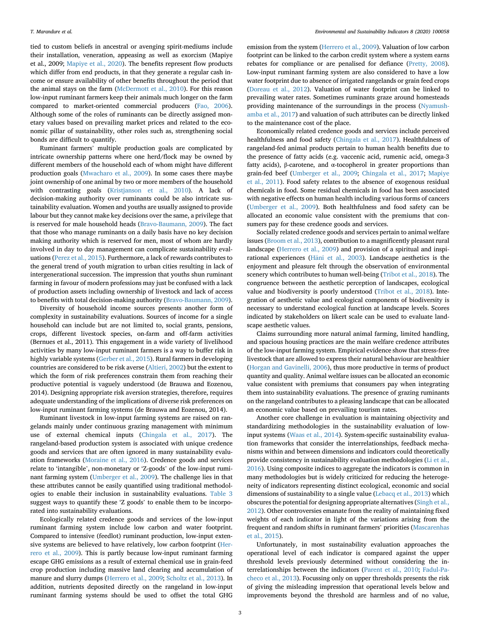tied to custom beliefs in ancestral or avenging spirit-mediums include their installation, veneration, appeasing as well as exorcism (Mapiye et al., 2009; [Mapiye](#page-10-11) et al., 2020). The benefits represent flow products which differ from end products, in that they generate a regular cash income or ensure availability of other benefits throughout the period that the animal stays on the farm [\(McDermott](#page-10-12) et al., 2010). For this reason low-input ruminant farmers keep their animals much longer on the farm compared to market-oriented commercial producers (Fao, [2006\)](#page-9-15). Although some of the roles of ruminants can be directly assigned monetary values based on prevailing market prices and related to the economic pillar of sustainability, other roles such as, strengthening social bonds are difficult to quantify.

Ruminant farmers' multiple production goals are complicated by intricate ownership patterns where one herd/flock may be owned by different members of the household each of whom might have different production goals ([Mwacharo](#page-10-13) et al., 2009). In some cases there maybe joint ownership of one animal by two or more members of the household with contrasting goals ([Kristjanson](#page-9-16) et al., 2010). A lack of decision-making authority over ruminants could be also intricate sustainability evaluation. Women and youths are usually assigned to provide labour but they cannot make key decisions over the same, a privilege that is reserved for male household heads [\(Bravo-Baumann,](#page-9-17) 2009). The fact that those who manage ruminants on a daily basis have no key decision making authority which is reserved for men, most of whom are hardly involved in day to day management can complicate sustainability evaluations ([Perez](#page-10-14) et al., 2015). Furthermore, a lack of rewards contributes to the general trend of youth migration to urban cities resulting in lack of intergenerational succession. The impression that youths shun ruminant farming in favour of modern professions may just be confused with a lack of production assets including ownership of livestock and lack of access to benefits with total decision-making authority [\(Bravo-Baumann,](#page-9-17) 2009).

 (Bernues et al., 2011). This engagement in a wide variety of livelihood Diversity of household income sources presents another form of complexity in sustainability evaluations. Sources of income for a single household can include but are not limited to, social grants, pensions, crops, different livestock species, on-farm and off-farm activities activities by many low-input ruminant farmers is a way to buffer risk in highly variable systems ([Gerber](#page-9-11) et al., 2015). Rural farmers in developing countries are considered to be risk averse ([Altieri,](#page-9-18) 2002) but the extent to which the form of risk preferences constrain them from reaching their productive potential is vaguely understood (de Brauwa and Eozenou, 2014). Designing appropriate risk aversion strategies, therefore, requires adequate understanding of the implications of diverse risk preferences on low-input ruminant farming systems (de Brauwa and Eozenou, 2014).

Ruminant livestock in low-input farming systems are raised on rangelands mainly under continuous grazing management with minimum use of external chemical inputs ([Chingala](#page-9-19) et al., 2017). The rangeland-based production system is associated with unique credence goods and services that are often ignored in many sustainability evaluation frameworks ([Moraine](#page-10-15) et al., 2016). Credence goods and services relate to 'intangible', non-monetary or 'Z-goods' of the low-input ruminant farming system ([Umberger](#page-10-16) et al., 2009). The challenge lies in that these attributes cannot be easily quantified using traditional methodologies to enable their inclusion in sustainability evaluations. [Table](#page-7-0) 3 suggest ways to quantify these '<sup>Z</sup> goods' to enable them to be incorporated into sustainability evaluations.

Ecologically related credence goods and services of the low-input ruminant farming system include low carbon and water footprint. Compared to intensive (feedlot) ruminant production, low-input extensive systems are believed to have relatively, low carbon footprint [\(Her](#page-9-20)rero et al., [2009](#page-9-20)). This is partly because low-input ruminant farming escape GHG emissions as a result of external chemical use in grain-feed crop production including massive land clearing and accumulation of manure and slurry dumps ([Herrero](#page-9-20) et al., 2009; [Scholtz](#page-10-17) et al., 2013). In addition, nutrients deposited directly on the rangeland in low-input ruminant farming systems should be used to offset the total GHG emission from the system [\(Herrero](#page-9-20) et al., 2009). Valuation of low carbon footprint can be linked to the carbon credit system where a system earns rebates for compliance or are penalised for defiance [\(Pretty,](#page-10-18) 2008). Low-input ruminant farming system are also considered to have a low water footprint due to absence of irrigated rangelands or grain feed crops ([Doreau](#page-9-21) et al., 2012). Valuation of water footprint can be linked to prevailing water rates. Sometimes ruminants graze around homesteads providing maintenance of the surroundings in the process [\(Nyamush](#page-10-10)[amba](#page-10-10) et al., 2017) and valuation of such attributes can be directly linked to the maintenance cost of the place.

Economically related credence goods and services include perceived healthfulness and food safety [\(Chingala](#page-9-19) et al., 2017). Healthfulness of rangeland-fed animal products pertain to human health benefits due to the presence of fatty acids (e.g. vaccenic acid, rumenic acid, omega-3 fatty acids), β-carotene, and α-tocopherol in greater proportions than grain-fed beef [\(Umberger](#page-10-16) et al., 2009; [Chingala](#page-9-19) et al., 2017; [Mapiye](#page-10-19) et al., [2011\)](#page-10-19). Food safety relates to the absence of exogenous residual chemicals in food. Some residual chemicals in food has been associated with negative effects on human health including various forms of cancers ([Umberger](#page-10-16) et al., 2009). Both healthfulness and food safety can be allocated an economic value consistent with the premiums that consumers pay for these credence goods and services.

Socially related credence goods and services pertain to animal welfare issues [\(Broom](#page-9-22) et al., 2013), contribution to a magnificently pleasant rural landscape ([Herrero](#page-9-20) et al., 2009) and provision of a spiritual and inspi-rational experiences ([H](#page-9-7)äni et al., [2003\)](#page-9-7). Landscape aesthetics is the enjoyment and pleasure felt through the observation of environmental scenery which contributes to human well-being [\(Tribot](#page-10-20) et al., 2018). The congruence between the aesthetic perception of landscapes, ecological value and biodiversity is poorly understood [\(Tribot](#page-10-20) et al., 2018). Integration of aesthetic value and ecological components of biodiversity is necessary to understand ecological function at landscape levels. Scores indicated by stakeholders on likert scale can be used to evaluate landscape aesthetic values.

Claims surrounding more natural animal farming, limited handling, and spacious housing practices are the main welfare credence attributes of the low-input farming system. Empirical evidence show that stress-free livestock that are allowed to express their natural behaviour are healthier (Horgan and [Gavinelli,](#page-9-23) 2006), thus more productive in terms of product quantity and quality. Animal welfare issues can be allocated an economic value consistent with premiums that consumers pay when integrating them into sustainability evaluations. The presence of grazing ruminants on the rangeland contributes to a pleasing landscape that can be allocated an economic value based on prevailing tourism rates.

Another core challenge in evaluation is maintaining objectivity and standardizing methodologies in the sustainability evaluation of lowinput systems ([Waas](#page-10-2) et al., 2014). System-specific sustainability evaluation frameworks that consider the interrelationships, feedback mechanisms within and between dimensions and indicators could theoretically provide consistency in sustainability evaluation methodologies (Li et [al.,](#page-9-24) [2016\)](#page-9-24). Using composite indices to aggregate the indicators is common in many methodologies but is widely criticized for reducing the heterogeneity of indicators representing distinct ecological, economic and social dimensions of sustainability to a single value [\(Lebacq](#page-9-25) et al., 2013) which obscures the potential for designing appropriate alternatives([Singh](#page-10-4) et al., [2012\)](#page-10-4). Other controversies emanate from the reality of maintaining fixed weights of each indicator in light of the variations arising from the frequent and random shifts in ruminant farmers' priorities ([Mascarenhas](#page-10-21) et al., [2015](#page-10-21)).

Unfortunately, in most sustainability evaluation approaches the operational level of each indicator is compared against the upper threshold levels previously determined without considering the interrelationships between the indicators ([Parent](#page-10-22) et al., 2010; [Fadul-Pa](#page-9-26)[checo](#page-9-26) et al., 2013). Focussing only on upper thresholds presents the risk of giving the misleading impression that operational levels below and improvements beyond the threshold are harmless and of no value,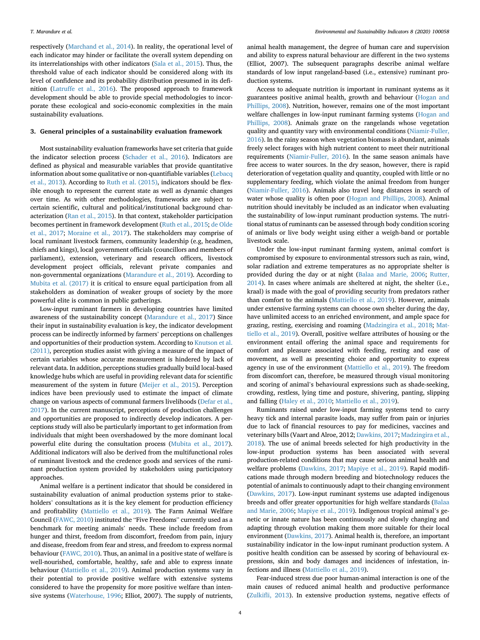respectively ([Marchand](#page-10-23) et al., 2014). In reality, the operational level of each indicator may hinder or facilitate the overall system depending on its interrelationships with other indicators (Sala et al., [2015](#page-10-24)). Thus, the threshold value of each indicator should be considered along with its level of confidence and its probability distribution presumed in its definition [\(Latruffe](#page-9-14) et al., 2016). The proposed approach to framework development should be able to provide special methodologies to incorporate these ecological and socio-economic complexities in the main sustainability evaluations.

#### 3. General principles of a sustainability evaluation framework

Most sustainability evaluation frameworks have set criteria that guide the indicator selection process [\(Schader](#page-10-25) et al., 2016). Indicators are defined as physical and measurable variables that provide quantitative information about some qualitative or non-quantifiable variables[\(Lebacq](#page-9-25) et al., [2013\)](#page-9-25). According to Ruth et al. [\(2015\)](#page-10-26), indicators should be flexible enough to represent the current state as well as dynamic changes over time. As with other methodologies, frameworks are subject to certain scientific, cultural and political/institutional background characterization (Ran et al., [2015\)](#page-10-27). In that context, stakeholder participation becomes pertinent in framework development (Ruth et al., [2015](#page-10-26); de [Olde](#page-9-3) et al., [2017;](#page-9-3) [Moraine](#page-10-28) et al., 2017). The stakeholders may comprise of local ruminant livestock farmers, community leadership (e.g, headmen, chiefs and kings), local government officials (councillors and members of parliament), extension, veterinary and research officers, livestock development project officials, relevant private companies and non-governmental organizations [\(Marandure](#page-10-29) et al., 2019). According to [Mubita](#page-10-30) et al. (2017) it is critical to ensure equal participation from all stakeholders as domination of weaker groups of society by the more powerful elite is common in public gatherings.

Low-input ruminant farmers in developing countries have limited awareness of the sustainability concept [\(Marandure](#page-10-5) et al., 2017) Since their input in sustainability evaluation is key, the indicator development process can be indirectly informed by farmers' perceptions on challenges and opportunities of their production system. According to [Knutson](#page-9-27) et al. [\(2011\)](#page-9-27), perception studies assist with giving a measure of the impact of certain variables whose accurate measurement is hindered by lack of relevant data. In addition, perceptions studies gradually build local-based knowledge hubs which are useful in providing relevant data for scientific measurement of the system in future [\(Meijer](#page-10-31) et al., 2015). Perception indices have been previously used to estimate the impact of climate change on various aspects of communal farmers livelihoods ([Defar](#page-9-28) et al., [2017\)](#page-9-28). In the current manuscript, perceptions of production challenges and opportunities are proposed to indirectly develop indicators. A perceptions study will also be particularly important to get information from individuals that might been overshadowed by the more dominant local powerful elite during the consultation process [\(Mubita](#page-10-30) et al., 2017). Additional indicators will also be derived from the multifunctional roles of ruminant livestock and the credence goods and services of the ruminant production system provided by stakeholders using participatory approaches.

Animal welfare is a pertinent indicator that should be considered in sustainability evaluation of animal production systems prior to stakeholders' consultations as it is the key element for production efficiency and profitability ([Mattiello](#page-10-32) et al., 2019). The Farm Animal Welfare Council [\(FAWC,](#page-9-29) 2010) instituted the "Five Freedoms" currently used as <sup>a</sup> benchmark for meeting animals' needs. These include freedom from hunger and thirst, freedom from discomfort, freedom from pain, injury and disease, freedom from fear and stress, and freedom to express normal behaviour ([FAWC,](#page-9-29) 2010). Thus, an animal in a positive state of welfare is well-nourished, comfortable, healthy, safe and able to express innate behaviour [\(Mattiello](#page-10-32) et al., 2019). Animal production systems vary in their potential to provide positive welfare with extensive systems considered to have the propensity for more positive welfare than intensive systems [\(Waterhouse,](#page-10-33) 1996; Elliot, 2007). The supply of nutrients,

animal health management, the degree of human care and supervision and ability to express natural behaviour are different in the two systems (Elliot, 2007). The subsequent paragraphs describe animal welfare standards of low input rangeland-based (i.e., extensive) ruminant production systems.

Access to adequate nutrition is important in ruminant systems as it guarantees positive animal health, growth and behaviour ([Hogan](#page-9-30) and [Phillips,](#page-9-30) 2008). Nutrition, however, remains one of the most important welfare challenges in low-input ruminant farming systems [\(Hogan](#page-9-30) and [Phillips,](#page-9-30) 2008). Animals graze on the rangelands whose vegetation quality and quantity vary with environmental conditions [\(Niamir-Fuller,](#page-10-34) [2016\)](#page-10-34). In the rainy season when vegetation biomass is abundant, animals freely select forages with high nutrient content to meet their nutritional requirements [\(Niamir-Fuller,](#page-10-34) 2016). In the same season animals have free access to water sources. In the dry season, however, there is rapid deterioration of vegetation quality and quantity, coupled with little or no supplementary feeding, which violate the animal freedom from hunger ([Niamir-Fuller,](#page-10-34) 2016). Animals also travel long distances in search of water whose quality is often poor (Hogan and [Phillips,](#page-9-30) 2008). Animal nutrition should inevitably be included as an indicator when evaluating the sustainability of low-input ruminant production systems. The nutritional status of ruminants can be assessed through body condition scoring of animals or live body weight using either a weigh-band or portable livestock scale.

Under the low-input ruminant farming system, animal comfort is compromised by exposure to environmental stressors such as rain, wind, solar radiation and extreme temperatures as no appropriate shelter is provided during the day or at night (Balaa and [Marie,](#page-9-31) 2006; [Rutter,](#page-10-35) [2014\)](#page-10-35). In cases where animals are sheltered at night, the shelter (i.e., kraal) is made with the goal of providing security from predators rather than comfort to the animals ([Mattiello](#page-10-32) et al., 2019). However, animals under extensive farming systems can choose own shelter during the day, have unlimited access to an enriched environment, and ample space for grazing, resting, exercising and roaming [\(Madzingira](#page-9-32) et al., 2018; [Mat](#page-10-32)tiello et al., [2019\)](#page-10-32). Overall, positive welfare attributes of housing or the environment entail offering the animal space and requirements for comfort and pleasure associated with feeding, resting and ease of movement, as well as presenting choice and opportunity to express agency in use of the environment ([Mattiello](#page-10-32) et al., 2019). The freedom from discomfort can, therefore, be measured through visual monitoring and scoring of animal'<sup>s</sup> behavioural expressions such as shade-seeking, crowding, restless, lying time and posture, shivering, panting, slipping and falling [\(Haley](#page-9-33) et al., 2010; [Mattiello](#page-10-32) et al., 2019).

Ruminants raised under low-input farming systems tend to carry heavy tick and internal parasite loads, may suffer from pain or injuries due to lack of financial resources to pay for medicines, vaccines and veterinary bills (Vaart and Alroe, 2012; [Dawkins,](#page-9-34) 2017; [Madzingira](#page-9-32) et al., [2018\)](#page-9-32). The use of animal breeds selected for high productivity in the low-input production systems has been associated with several production-related conditions that may cause serious animal health and welfare problems ([Dawkins,](#page-9-34) 2017; [Mapiye](#page-10-36) et al., 2019). Rapid modifications made through modern breeding and biotechnology reduces the potential of animals to continuously adapt to their changing environment ([Dawkins,](#page-9-34) 2017). Low-input ruminant systems use adapted indigenous breeds and offer greater opportunities for high welfare standards ([Balaa](#page-9-31) and [Marie,](#page-9-31) 2006; [Mapiye](#page-10-36) et al., 2019). Indigenous tropical animal'<sup>s</sup> genetic or innate nature has been continuously and slowly changing and adapting through evolution making them more suitable for their local environment [\(Dawkins,](#page-9-34) 2017). Animal health is, therefore, an important sustainability indicator in the low-input ruminant production system. A positive health condition can be assessed by scoring of behavioural expressions, skin and body damages and incidences of infestation, infections and illness [\(Mattiello](#page-10-32) et al., 2019).

Fear-induced stress due poor human-animal interaction is one of the main causes of reduced animal health and productive performance (Zulkifli, [2013\)](#page-11-1). In extensive production systems, negative effects of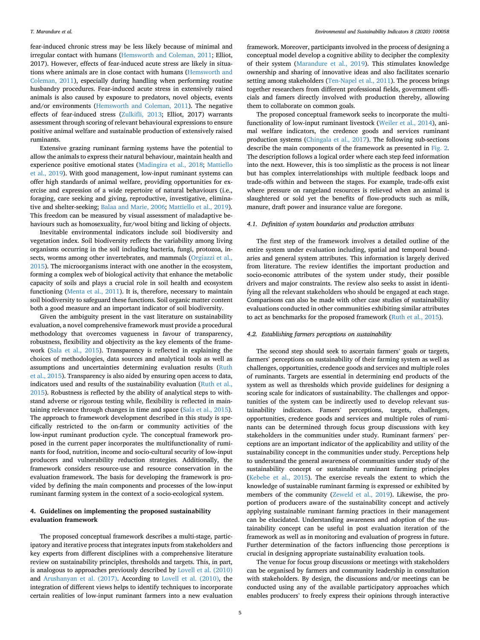fear-induced chronic stress may be less likely because of minimal and irregular contact with humans ([Hemsworth](#page-9-35) and Coleman, 2011; Elliot, 2017). However, effects of fear-induced acute stress are likely in situations where animals are in close contact with humans ([Hemsworth](#page-9-35) and [Coleman,](#page-9-35) 2011), especially during handling when performing routine husbandry procedures. Fear-induced acute stress in extensively raised animals is also caused by exposure to predators, novel objects, events and/or environments [\(Hemsworth](#page-9-35) and Coleman, 2011). The negative effects of fear-induced stress (Zulkifli, [2013;](#page-11-1) Elliot, 2017) warrants assessment through scoring of relevant behavioural expressions to ensure positive animal welfare and sustainable production of extensively raised ruminants.

Extensive grazing ruminant farming systems have the potential to allow the animals to express their natural behaviour, maintain health and experience positive emotional states [\(Madingira](#page-9-32) et al., 2018; [Mattiello](#page-10-32) et al., [2019](#page-10-32)). With good management, low-input ruminant systems can offer high standards of animal welfare, providing opportunities for exercise and expression of a wide repertoire of natural behaviours (i.e., foraging, care seeking and giving, reproductive, investigative, eliminative and shelter-seeking; Balaa and [Marie,](#page-9-31) 2006; [Mattiello](#page-10-32) et al., 2019). This freedom can be measured by visual assessment of maladaptive behaviours such as homosexuality, fur/wool biting and licking of objects.

Inevitable environmental indicators include soil biodiversity and vegetation index. Soil biodiversity reflects the variability among living organisms occurring in the soil including bacteria, fungi, protozoa, insects, worms among other invertebrates, and mammals [\(Orgiazzi](#page-10-37) et al., [2015\)](#page-10-37). The microorganisms interact with one another in the ecosystem, forming a complex web of biological activity that enhance the metabolic capacity of soils and plays a crucial role in soil health and ecosystem functioning [\(Menta](#page-10-38) et al., 2011). It is, therefore, necessary to maintain soil biodiversity to safeguard these functions. Soil organic matter content both a good measure and an important indicator of soil biodiversity.

Given the ambiguity present in the vast literature on sustainability evaluation, a novel comprehensive framework must provide a procedural methodology that overcomes vagueness in favour of transparency, robustness, flexibility and objectivity as the key elements of the framework (Sala et al., [2015](#page-10-24)). Transparency is reflected in explaining the choices of methodologies, data sources and analytical tools as well as assumptions and uncertainties determining evaluation results ([Ruth](#page-10-26) et al., [2015\)](#page-10-26). Transparency is also aided by ensuring open access to data, indicators used and results of the sustainability evaluation [\(Ruth](#page-10-26) et al., [2015\)](#page-10-26). Robustness is reflected by the ability of analytical steps to withstand adverse or rigorous testing while, flexibility is reflected in maintaining relevance through changes in time and space (Sala et al., [2015\)](#page-10-24). The approach to framework development described in this study is specifically restricted to the on-farm or community activities of the low-input ruminant production cycle. The conceptual framework proposed in the current paper incorporates the multifunctionality of ruminants for food, nutrition, income and socio-cultural security of low-input producers and vulnerability reduction strategies. Additionally, the framework considers resource-use and resource conservation in the evaluation framework. The basis for developing the framework is provided by defining the main components and processes of the low-input ruminant farming system in the context of a socio-ecological system.

## 4. Guidelines on implementing the proposed sustainability evaluation framework

The proposed conceptual framework describes a multi-stage, participatory and iterative process that integrates inputs from stakeholders and key experts from different disciplines with a comprehensive literature review on sustainability principles, thresholds and targets. This, in part, is analogous to approaches previously described by Lovell et al. [\(2010\)](#page-9-36) and [Arushanyan](#page-9-37) et al. (2017). According to Lovell et al. [\(2010\),](#page-9-36) the integration of different views helps to identify techniques to incorporate certain realities of low-input ruminant farmers into a new evaluation

framework. Moreover, participants involved in the process of designing a conceptual model develop a cognitive ability to decipher the complexity of their system [\(Marandure](#page-10-29) et al., 2019). This stimulates knowledge ownership and sharing of innovative ideas and also facilitates scenario setting among stakeholders [\(Ten-Napel](#page-10-39) et al., 2011). The process brings together researchers from different professional fields, government officials and famers directly involved with production thereby, allowing them to collaborate on common goals.

The proposed conceptual framework seeks to incorporate the multifunctionality of low-input ruminant livestock ([Weiler](#page-10-40) et al., 2014), animal welfare indicators, the credence goods and services ruminant production systems ([Chingala](#page-9-19) et al., 2017). The following sub-sections describe the main components of the framework as presented in [Fig.](#page-6-0) 2. The description follows a logical order where each step feed information into the next. However, this is too simplistic as the process is not linear but has complex interrelationships with multiple feedback loops and trade-offs within and between the stages. For example, trade-offs exist where pressure on rangeland resources is relieved when an animal is slaughtered or sold yet the benefits of flow-products such as milk, manure, draft power and insurance value are foregone.

#### 4.1. Definition of system boundaries and production attributes

The first step of the framework involves a detailed outline of the entire system under evaluation including, spatial and temporal boundaries and general system attributes. This information is largely derived from literature. The review identifies the important production and socio-economic attributes of the system under study, their possible drivers and major constraints. The review also seeks to assist in identifying all the relevant stakeholders who should be engaged at each stage. Comparisons can also be made with other case studies of sustainability evaluations conducted in other communities exhibiting similar attributes to act as benchmarks for the proposed framework (Ruth et al., [2015\)](#page-10-26).

#### 4.2. Establishing farmers perceptions on sustainability

The second step should seek to ascertain farmers' goals or targets, farmers' perceptions on sustainability of their farming system as well as challenges, opportunities, credence goods and services and multiple roles of ruminants. Targets are essential in determining end products of the system as well as thresholds which provide guidelines for designing a scoring scale for indicators of sustainability. The challenges and opportunities of the system can be indirectly used to develop relevant sustainability indicators. Famers' perceptions, targets, challenges, opportunities, credence goods and services and multiple roles of ruminants can be determined through focus group discussions with key stakeholders in the communities under study. Ruminant farmers' perceptions are an important indicator of the applicability and utility of the sustainability concept in the communities under study. Perceptions help to understand the general awareness of communities under study of the sustainability concept or sustainable ruminant farming principles ([Kebebe](#page-9-38) et al., 2015). The exercise reveals the extent to which the knowledge of sustainable ruminant farming is expressed or exhibited by members of the community ([Zeweld](#page-11-2) et al., 2019). Likewise, the proportion of producers aware of the sustainability concept and actively applying sustainable ruminant farming practices in their management can be elucidated. Understanding awareness and adoption of the sustainability concept can be useful in post evaluation iteration of the framework as well as in monitoring and evaluation of progress in future. Further determination of the factors influencing those perceptions is crucial in designing appropriate sustainability evaluation tools.

The venue for focus group discussions or meetings with stakeholders can be organised by farmers and community leadership in consultation with stakeholders. By design, the discussions and/or meetings can be conducted using any of the available participatory approaches which enables producers' to freely express their opinions through interactive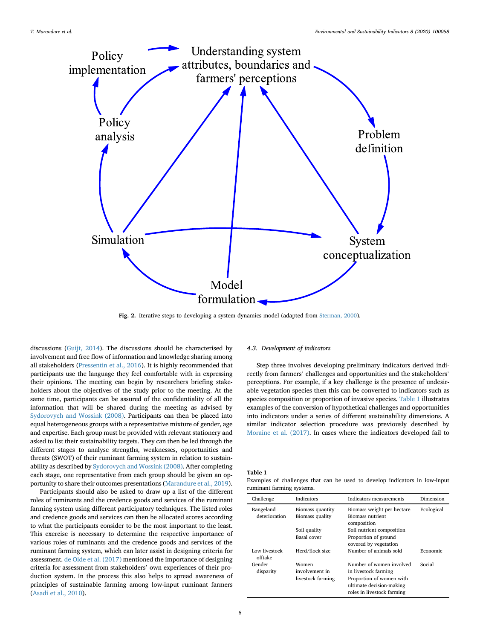<span id="page-6-0"></span>

Fig. 2. Iterative steps to developing a system dynamics model (adapted from [Sterman,](#page-10-43) 2000).

discussions ([Guijt,](#page-9-39) 2014). The discussions should be characterised by involvement and free flow of information and knowledge sharing among all stakeholders ([Pressentin](#page-10-41) et al., 2016). It is highly recommended that participants use the language they feel comfortable with in expressing their opinions. The meeting can begin by researchers briefing stakeholders about the objectives of the study prior to the meeting. At the same time, participants can be assured of the confidentiality of all the information that will be shared during the meeting as advised by [Sydorovych](#page-10-42) and Wossink (2008). Participants can then be placed into equal heterogeneous groups with a representative mixture of gender, age and expertise. Each group must be provided with relevant stationery and asked to list their sustainability targets. They can then be led through the different stages to analyse strengths, weaknesses, opportunities and threats (SWOT) of their ruminant farming system in relation to sustainability as described by [Sydorovych](#page-10-42) and Wossink (2008). After completing each stage, one representative from each group should be given an opportunity to share their outcomes presentations [\(Marandure](#page-10-29) et al., 2019).

Participants should also be asked to draw up a list of the different roles of ruminants and the credence goods and services of the ruminant farming system using different participatory techniques. The listed roles and credence goods and services can then be allocated scores according to what the participants consider to be the most important to the least. This exercise is necessary to determine the respective importance of various roles of ruminants and the credence goods and services of the ruminant farming system, which can later assist in designing criteria for assessment. de Olde et al. [\(2017\)](#page-9-3) mentioned the importance of designing criteria for assessment from stakeholders' own experiences of their production system. In the process this also helps to spread awareness of principles of sustainable farming among low-input ruminant farmers ([Asadi](#page-9-40) et al., 2010).

#### 4.3. Development of indicators

Step three involves developing preliminary indicators derived indirectly from farmers' challenges and opportunities and the stakeholders' perceptions. For example, if a key challenge is the presence of undesirable vegetation species then this can be converted to indicators such as species composition or proportion of invasive species. [Table](#page-6-1) 1 illustrates examples of the conversion of hypothetical challenges and opportunities into indicators under a series of different sustainability dimensions. A similar indicator selection procedure was previously described by [Moraine](#page-10-0) et al. (2017). In cases where the indicators developed fail to

#### <span id="page-6-1"></span>Table 1

| Examples of challenges that can be used to develop indicators in low-input |  |  |  |  |  |
|----------------------------------------------------------------------------|--|--|--|--|--|
| ruminant farming systems.                                                  |  |  |  |  |  |

| Challenge                  | Indicators                                   | Indicators measurements                                                                                                                | Dimension  |
|----------------------------|----------------------------------------------|----------------------------------------------------------------------------------------------------------------------------------------|------------|
| Rangeland<br>deterioration | Biomass quantity<br>Biomass quality          | Biomass weight per hectare<br><b>Biomass nutrient</b><br>composition                                                                   | Ecological |
|                            | Soil quality<br>Basal cover                  | Soil nutrient composition<br>Proportion of ground<br>covered by vegetation                                                             |            |
| Low livestock<br>offtake   | Herd/flock size                              | Number of animals sold                                                                                                                 | Economic   |
| Gender<br>disparity        | Women<br>involvement in<br>livestock farming | Number of women involved<br>in livestock farming<br>Proportion of women with<br>ultimate decision-making<br>roles in livestock farming | Social     |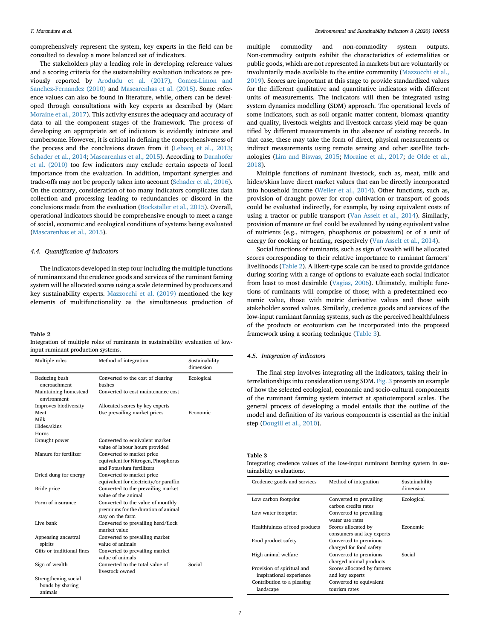comprehensively represent the system, key experts in the field can be consulted to develop a more balanced set of indicators.

The stakeholders play a leading role in developing reference values and a scoring criteria for the sustainability evaluation indicators as previously reported by [Arodudu](#page-9-41) et al. (2017), [Gomez-Limon](#page-9-1) and [Sanchez-Fernandez](#page-9-1) (2010) and [Mascarenhas](#page-10-21) et al. (2015). Some reference values can also be found in literature, while, others can be developed through consultations with key experts as described by (Marc [Moraine](#page-10-0) et al., 2017). This activity ensures the adequacy and accuracy of data to all the component stages of the framework. The process of developing an appropriate set of indicators is evidently intricate and cumbersome. However, it is critical in defining the comprehensiveness of the process and the conclusions drawn from it ([Lebacq](#page-9-25) et al., 2013; [Schader](#page-10-44) et al., 2014; [Mascarenhas](#page-10-21) et al., 2015). According to [Darnhofer](#page-9-42) et al. [\(2010\)](#page-9-42) too few indicators may exclude certain aspects of local importance from the evaluation. In addition, important synergies and trade-offs may not be properly taken into account ([Schader](#page-10-25) et al., 2016). On the contrary, consideration of too many indicators complicates data collection and processing leading to redundancies or discord in the conclusions made from the evaluation [\(Bockstaller](#page-9-5) et al., 2015). Overall, operational indicators should be comprehensive enough to meet a range of social, economic and ecological conditions of systems being evaluated ([Mascarenhas](#page-10-21) et al., 2015).

#### 4.4. Quantification of indicators

The indicators developed in step four including the multiple functions of ruminants and the credence goods and services of the ruminant faming system will be allocated scores using a scale determined by producers and key sustainability experts. [Mazzocchi](#page-10-45) et al. (2019) mentioned the key elements of multifunctionality as the simultaneous production of

#### <span id="page-7-1"></span>Table 2

|                                    |  |  |  | Integration of multiple roles of ruminants in sustainability evaluation of low- |  |  |
|------------------------------------|--|--|--|---------------------------------------------------------------------------------|--|--|
| input ruminant production systems. |  |  |  |                                                                                 |  |  |

| Multiple roles                       | Method of integration                                            | Sustainability<br>dimension |
|--------------------------------------|------------------------------------------------------------------|-----------------------------|
| Reducing bush<br>encroachment        | Converted to the cost of clearing<br>bushes                      | Ecological                  |
| Maintaining homestead<br>environment | Converted to cost maintenance cost                               |                             |
| Improves biodiversity                | Allocated scores by key experts                                  |                             |
| Meat                                 | Use prevailing market prices                                     | Economic                    |
| Milk                                 |                                                                  |                             |
| Hides/skins                          |                                                                  |                             |
| Horns                                |                                                                  |                             |
| Draught power                        | Converted to equivalent market<br>value of labour hours provided |                             |
| Manure for fertilizer                | Converted to market price                                        |                             |
|                                      | equivalent for Nitrogen, Phosphorus<br>and Potassium fertilizers |                             |
| Dried dung for energy                | Converted to market price                                        |                             |
|                                      | equivalent for electricity/or paraffin                           |                             |
| Bride price                          | Converted to the prevailing market                               |                             |
|                                      | value of the animal                                              |                             |
| Form of insurance                    | Converted to the value of monthly                                |                             |
|                                      | premiums for the duration of animal                              |                             |
|                                      | stay on the farm                                                 |                             |
| Live bank                            | Converted to prevailing herd/flock                               |                             |
|                                      | market value                                                     |                             |
| Appeasing ancestral                  | Converted to prevailing market                                   |                             |
| spirits                              | value of animals                                                 |                             |
| Gifts or traditional fines           | Converted to prevailing market                                   |                             |
|                                      | value of animals                                                 |                             |
| Sign of wealth                       | Converted to the total value of                                  | Social                      |
|                                      | livestock owned                                                  |                             |
| Strengthening social                 |                                                                  |                             |
| bonds by sharing                     |                                                                  |                             |
| animals                              |                                                                  |                             |

multiple commodity and non-commodity system outputs. Non-commodity outputs exhibit the characteristics of externalities or public goods, which are not represented in markets but are voluntarily or involuntarily made available to the entire community [\(Mazzocchi](#page-10-45) et al., [2019\)](#page-10-45). Scores are important at this stage to provide standardized values for the different qualitative and quantitative indicators with different units of measurements. The indicators will then be integrated using system dynamics modelling (SDM) approach. The operational levels of some indicators, such as soil organic matter content, biomass quantity and quality, livestock weights and livestock carcass yield may be quantified by different measurements in the absence of existing records. In that case, these may take the form of direct, physical measurements or indirect measurements using remote sensing and other satellite technologies (Lim and [Biswas,](#page-9-43) 2015; [Moraine](#page-10-0) et al., 2017; de [Olde](#page-9-44) et al., [2018\)](#page-9-44).

Multiple functions of ruminant livestock, such as, meat, milk and hides/skins have direct market values that can be directly incorporated into household income [\(Weiler](#page-10-40) et al., 2014). Other functions, such as, provision of draught power for crop cultivation or transport of goods could be evaluated indirectly, for example, by using equivalent costs of using a tractor or public transport (Van [Asselt](#page-10-46) et al., 2014). Similarly, provision of manure or fuel could be evaluated by using equivalent value of nutrients (e.g., nitrogen, phosphorus or potassium) or of a unit of energy for cooking or heating, respectively (Van [Asselt](#page-10-46) et al., 2014).

Social functions of ruminants, such as sign of wealth will be allocated scores corresponding to their relative importance to ruminant farmers' livelihoods ([Table](#page-7-1) 2). A likert-type scale can be used to provide guidance during scoring with a range of options to evaluate each social indicator from least to most desirable [\(Vagias,](#page-10-47) 2006). Ultimately, multiple functions of ruminants will comprise of those; with a predetermined economic value, those with metric derivative values and those with stakeholder scored values. Similarly, credence goods and services of the low-input ruminant farming systems, such as the perceived healthfulness of the products or ecotourism can be incorporated into the proposed framework using a scoring technique ([Table](#page-7-0) 3).

#### 4.5. Integration of indicators

The final step involves integrating all the indicators, taking their interrelationships into consideration using SDM. [Fig.](#page-8-0) 3 presents an example of how the selected ecological, economic and socio-cultural components of the ruminant farming system interact at spatiotemporal scales. The general process of developing a model entails that the outline of the model and definition of its various components is essential as the initial step [\(Dougill](#page-9-45) et al., 2010).

<span id="page-7-0"></span>Table 3

Integrating credence values of the low-input ruminant farming system in sustainability evaluations.

| Credence goods and services                            | Method of integration                            | Sustainability<br>dimension |
|--------------------------------------------------------|--------------------------------------------------|-----------------------------|
| Low carbon footprint                                   | Converted to prevailing<br>carbon credits rates  | Ecological                  |
| Low water footprint                                    | Converted to prevailing<br>water use rates       |                             |
| Healthfulness of food products                         | Scores allocated by<br>consumers and key experts | Economic                    |
| Food product safety                                    | Converted to premiums<br>charged for food safety |                             |
| High animal welfare                                    | Converted to premiums<br>charged animal products | Social                      |
| Provision of spiritual and<br>inspirational experience | Scores allocated by farmers<br>and key experts   |                             |
| Contribution to a pleasing                             | Converted to equivalent                          |                             |
| landscape                                              | tourism rates                                    |                             |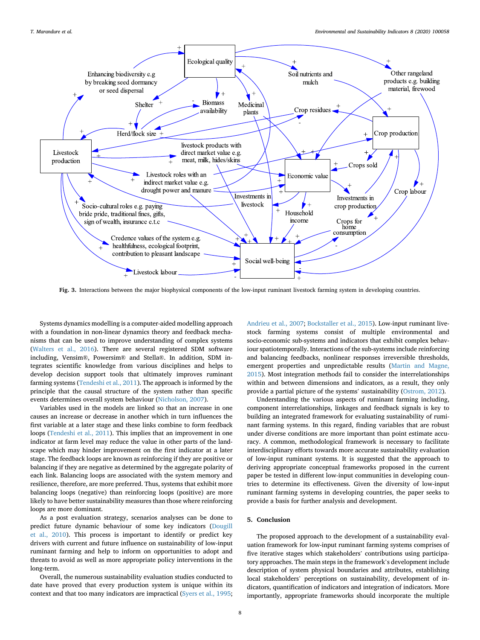<span id="page-8-0"></span>

Fig. 3. Interactions between the major biophysical components of the low-input ruminant livestock farming system in developing countries.

Systems dynamics modelling is a computer-aided modelling approach with a foundation in non-linear dynamics theory and feedback mechanisms that can be used to improve understanding of complex systems ([Walters](#page-10-48) et al., 2016). There are several registered SDM software including, Vensim®, Powersim® and Stella®. In addition, SDM integrates scientific knowledge from various disciplines and helps to develop decision support tools that ultimately improves ruminant farming systems [\(Tendeshi](#page-10-49) et al., 2011). The approach is informed by the principle that the causal structure of the system rather than specific events determines overall system behaviour [\(Nicholson,](#page-10-50) 2007).

Variables used in the models are linked so that an increase in one causes an increase or decrease in another which in turn influences the first variable at a later stage and these links combine to form feedback loops ([Tendeshi](#page-10-49) et al., 2011). This implies that an improvement in one indicator at farm level may reduce the value in other parts of the landscape which may hinder improvement on the first indicator at a later stage. The feedback loops are known as reinforcing if they are positive or balancing if they are negative as determined by the aggregate polarity of each link. Balancing loops are associated with the system memory and resilience, therefore, are more preferred. Thus, systems that exhibit more balancing loops (negative) than reinforcing loops (positive) are more likely to have better sustainability measures than those where reinforcing loops are more dominant.

As a post evaluation strategy, scenarios analyses can be done to predict future dynamic behaviour of some key indicators [\(Dougill](#page-9-45) et al., [2010](#page-9-45)). This process is important to identify or predict key drivers with current and future influence on sustainability of low-input ruminant farming and help to inform on opportunities to adopt and threats to avoid as well as more appropriate policy interventions in the long-term.

Overall, the numerous sustainability evaluation studies conducted to date have proved that every production system is unique within its context and that too many indicators are impractical [\(Syers](#page-10-51) et al., 1995;

[Andrieu](#page-9-46) et al., 2007; [Bockstaller](#page-9-5) et al., 2015). Low-input ruminant livestock farming systems consist of multiple environmental and socio-economic sub-systems and indicators that exhibit complex behaviour spatiotemporally. Interactions of the sub-systems include reinforcing and balancing feedbacks, nonlinear responses irreversible thresholds, emergent properties and unpredictable results (Martin and [Magne,](#page-10-52) [2015\)](#page-10-52). Most integration methods fail to consider the interrelationships within and between dimensions and indicators, as a result, they only provide <sup>a</sup> partial picture of the systems' sustainability [\(Ostrom,](#page-10-53) 2012).

Understanding the various aspects of ruminant farming including, component interrelationships, linkages and feedback signals is key to building an integrated framework for evaluating sustainability of ruminant farming systems. In this regard, finding variables that are robust under diverse conditions are more important than point estimate accuracy. A common, methodological framework is necessary to facilitate interdisciplinary efforts towards more accurate sustainability evaluation of low-input ruminant systems. It is suggested that the approach to deriving appropriate conceptual frameworks proposed in the current paper be tested in different low-input communities in developing countries to determine its effectiveness. Given the diversity of low-input ruminant farming systems in developing countries, the paper seeks to provide a basis for further analysis and development.

#### 5. Conclusion

The proposed approach to the development of a sustainability evaluation framework for low-input ruminant farming systems comprises of five iterative stages which stakeholders' contributions using participatory approaches. The main steps in the framework'<sup>s</sup> development include description of system physical boundaries and attributes, establishing local stakeholders' perceptions on sustainability, development of indicators, quantification of indicators and integration of indicators. More importantly, appropriate frameworks should incorporate the multiple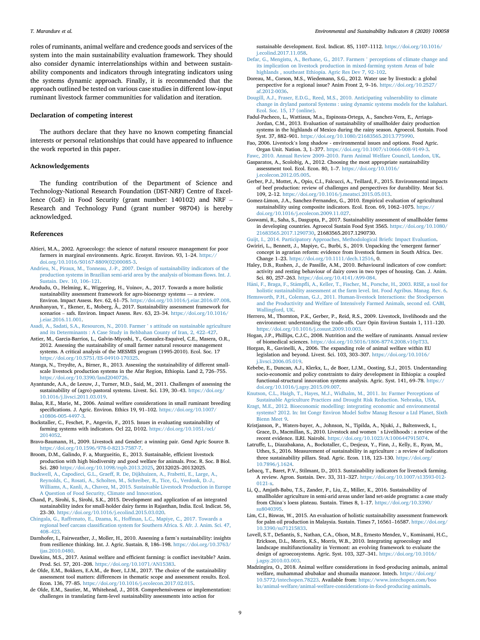roles of ruminants, animal welfare and credence goods and services of the system into the main sustainability evaluation framework. They should also consider dynamic interrelationships within and between sustainability components and indicators through integrating indicators using the systems dynamic approach. Finally, it is recommended that the approach outlined be tested on various case studies in different low-input ruminant livestock farmer communities for validation and iteration.

#### Declaration of competing interest

The authors declare that they have no known competing financial interests or personal relationships that could have appeared to influence the work reported in this paper.

#### Acknowledgements

The funding contribution of the Department of Science and Technology-National Research Foundation (DST-NRF) Centre of Excellence (CoE) in Food Security (grant number: 140102) and NRF – Research and Technology Fund (grant number 98704) is hereby acknowledged.

#### References

- <span id="page-9-18"></span>Altieri, M.A., 2002. Agroecology: the science of natural resource management for poor farmers in marginal environments. Agric. Ecosyst. Environ. 93, 1-24. https:/ [doi.org/10.1016/S0167-8809\(02\)00085-3.](https://doi.org/10.1016/S0167-8809(02)00085-3)
- <span id="page-9-46"></span>Andrieu, N., Piraux, M., Tonneau, J.-P., 2007. Design of [sustainability](http://refhub.elsevier.com/S2665-9727(20)30040-4/sref2) indicators of the [production](http://refhub.elsevier.com/S2665-9727(20)30040-4/sref2) systems in Brazilian semi-arid area by the analysis of biomass flows. Int. J. [Sustain.](http://refhub.elsevier.com/S2665-9727(20)30040-4/sref2) Dev. 10, <sup>106</sup>–[121](http://refhub.elsevier.com/S2665-9727(20)30040-4/sref2).
- <span id="page-9-41"></span>Arodudu, O., Helming, K., Wiggering, H., Voinov, A., 2017. Towards a more holistic sustainability assessment framework for agro-bioenergy systems — <sup>a</sup> review. Environ. Impact Assess. Rev. 62, <sup>61</sup>–75. [https://doi.org/10.1016/j.eiar.2016.07.008.](https://doi.org/10.1016/j.eiar.2016.07.008)
- <span id="page-9-37"></span>Arushanyan, Y., Ekener, E., Moberg, Å., 2017. Sustainability assessment framework for scenarios – safs. Environ. Impact Assess. Rev. 63, <sup>23</sup>–34. [https://doi.org/10.1016/](https://doi.org/10.1016/j.eiar.2016.11.001) [j.eiar.2016.11.001](https://doi.org/10.1016/j.eiar.2016.11.001).
- <span id="page-9-40"></span>Asadi, A., Sadati, S.A., Resources, N., 2010. Farmer ' <sup>s</sup> attitude on [sustainable](http://refhub.elsevier.com/S2665-9727(20)30040-4/sref5) agriculture and its [Determinants](http://refhub.elsevier.com/S2665-9727(20)30040-4/sref5) : <sup>A</sup> Case Study in Behbahan County of Iran, 2, <sup>422</sup>–[427](http://refhub.elsevier.com/S2665-9727(20)30040-4/sref5).
- <span id="page-9-9"></span>Astier, M., Garcia-Barrios, L., Galvin-Miyoshi, Y., Gonzalez-Esquivel, C.E., Masera, O.R., 2012. Assessing the sustainability of small farmer natural resource management systems. A critical analysis of the MESMIS program (1995-2010). Ecol. Soc. 17 <https://doi.org/10.5751/ES-04910-170325>.
- <span id="page-9-10"></span>Atanga, N., Treydte, A., Birner, R., 2013. Assessing the sustainability of different smallscale livestock production systems in the Afar Region, Ethiopia. Land 2, <sup>726</sup>–755. <https://doi.org/10.3390/land2040726>.
- <span id="page-9-4"></span>Ayantunde, A.A., de Leeuw, J., Turner, M.D., Said, M., 2011. Challenges of assessing the sustainability of (agro)-pastoral systems. Livest. Sci. 139, <sup>30</sup>–43. [https://doi.org/](https://doi.org/10.1016/j.livsci.2011.03.019) [10.1016/j.livsci.2011.03.019.](https://doi.org/10.1016/j.livsci.2011.03.019)
- <span id="page-9-31"></span>Balaa, R.E., Marie, M., 2006. Animal welfare considerations in small ruminant breeding specifications. J. Agric. Environ. Ethics 19, 91-102. [https://doi.org/10.1007/](https://doi.org/10.1007/s10806-005-4497-3) [s10806-005-4497-3.](https://doi.org/10.1007/s10806-005-4497-3)
- <span id="page-9-5"></span>Bockstaller, C., Feschet, P., Angevin, F., 2015. Issues in evaluating sustainability of farming systems with indicators. Ocl 22, D102. [https://doi.org/10.1051/ocl/](https://doi.org/10.1051/ocl/2014052) [2014052.](https://doi.org/10.1051/ocl/2014052)
- <span id="page-9-17"></span>Bravo-Baumann, H., 2009. Livestock and Gender: a winning pair. Gend Agric Source B. [https://doi.org/10.1596/978-0-8213-7587-7.](https://doi.org/10.1596/978-0-8213-7587-7)
- <span id="page-9-22"></span>Broom, D.M., Galindo, F. a, Murgueitio, E., 2013. Sustainable, efficient livestock production with high biodiversity and good welfare for animals. Proc. R. Soc. B Biol. Sci. <sup>280</sup> <https://doi.org/10.1098/rspb.2013.2025>, <sup>20132025</sup>–20132025.
- <span id="page-9-0"></span>Buckwell, A., Capodieci, G.L., Graeff, R. De, [Dijkhuizen,](http://refhub.elsevier.com/S2665-9727(20)30040-4/sref14) A., Frabetti, E., Large, A., Reynolds, C., Rosati, A., Scholten, M., [Schreiber,](http://refhub.elsevier.com/S2665-9727(20)30040-4/sref14) R., Tice, G., Verdonk, D.-J., Williams, A., Kanli, A., Chavez, M., 2015. [Sustainable](http://refhub.elsevier.com/S2665-9727(20)30040-4/sref14) Livestock Production in Europe A Question of Food Security, Climate and [Innovation.](http://refhub.elsevier.com/S2665-9727(20)30040-4/sref14)
- <span id="page-9-6"></span>Chand, P., Sirohi, S., Sirohi, S.K., 2015. Development and application of an integrated sustainability index for small-holder dairy farms in Rajasthan, India. Ecol. Indicat. 56, <sup>23</sup>–30. [https://doi.org/10.1016/j.ecolind.2015.03.020.](https://doi.org/10.1016/j.ecolind.2015.03.020)
- <span id="page-9-19"></span>Chingala, G., [Raffrenato,](http://refhub.elsevier.com/S2665-9727(20)30040-4/sref16) E., Dzama, K., Hoffman, L.C., Mapiye, C., 2017. Towards a regional beef carcass classification system for [Southern](http://refhub.elsevier.com/S2665-9727(20)30040-4/sref16) Africa. S. Afr. J. Anim. Sci. 47, [408](http://refhub.elsevier.com/S2665-9727(20)30040-4/sref16)–[423](http://refhub.elsevier.com/S2665-9727(20)30040-4/sref16).
- <span id="page-9-42"></span>Darnhofer, I., Fairweather, J., Moller, H., 2010. Assessing <sup>a</sup> farm'<sup>s</sup> sustainability: insights from resilience thinking. Int. J. Agric. Sustain. 8, <sup>186</sup>–198. [https://doi.org/10.3763/](https://doi.org/10.3763/ijas.2010.0480) [ijas.2010.0480](https://doi.org/10.3763/ijas.2010.0480).
- <span id="page-9-34"></span>Dawkins, M.S., 2017. Animal welfare and efficient farming: is conflict inevitable? Anim. Prod. Sci. 57, <sup>201</sup>–208. <https://doi.org/10.1071/AN15383>.
- <span id="page-9-3"></span>de Olde, E.M., Bokkers, E.A.M., de Boer, I.J.M., 2017. The choice of the sustainability assessment tool matters: differences in thematic scope and assessment results. Ecol. Econ. 136, <sup>77</sup>–85. [https://doi.org/10.1016/j.ecolecon.2017.02.015.](https://doi.org/10.1016/j.ecolecon.2017.02.015)
- <span id="page-9-44"></span>de Olde, E.M., Sautier, M., Whitehead, J., 2018. Comprehensiveness or implementation: challenges in translating farm-level sustainability assessments into action for

sustainable development. Ecol. Indicat. 85, <sup>1107</sup>–1112. [https://doi.org/10.1016/](https://doi.org/10.1016/j.ecolind.2017.11.058) [j.ecolind.2017.11.058](https://doi.org/10.1016/j.ecolind.2017.11.058).

- <span id="page-9-28"></span>Defar, G., Mengistu, A., Berhane, G., 2017. Farmers ' [perceptions](http://refhub.elsevier.com/S2665-9727(20)30040-4/sref21) of climate change and its implication on livestock production in [mixed-farming](http://refhub.elsevier.com/S2665-9727(20)30040-4/sref21) system Areas of bale [highlands](http://refhub.elsevier.com/S2665-9727(20)30040-4/sref21) , southeast Ethiopia. Agric Res Dev 7, <sup>92</sup>–[102.](http://refhub.elsevier.com/S2665-9727(20)30040-4/sref21)
- <span id="page-9-21"></span>Doreau, M., Corson, M.S., Wiedemann, S.G., 2012. Water use by livestock: a global perspective for <sup>a</sup> regional issue? Anim Front 2, <sup>9</sup>–16. [https://doi.org/10.2527/](https://doi.org/10.2527/af.2012-0036) [af.2012-0036](https://doi.org/10.2527/af.2012-0036).
- <span id="page-9-45"></span>Dougill, A.J., Fraser, E.D.G., Reed, M.S., 2010. Anticipating [vulnerability](http://refhub.elsevier.com/S2665-9727(20)30040-4/sref23) to climate change in dryland pastoral Systems : using dynamic systems models for the [kalahari.](http://refhub.elsevier.com/S2665-9727(20)30040-4/sref23) Ecol. Soc. 15, 17 [\(online\).](http://refhub.elsevier.com/S2665-9727(20)30040-4/sref23)
- <span id="page-9-26"></span> Fadul-Pacheco, L., Wattiaux, M.a., Espinoza-Ortega, A., Sanchez-Vera, E., Arriaga- Jordan, C.M., 2013. Evaluation of sustainability of smallholder dairy production systems in the highlands of Mexico during the rainy season. Agroecol. Sustain. Food Syst. 37, <sup>882</sup>–901. [https://doi.org/10.1080/21683565.2013.775990.](https://doi.org/10.1080/21683565.2013.775990)
- <span id="page-9-15"></span>Fao, 2006. Livestock'<sup>s</sup> long shadow - environmental issues and options. Food Agric. Organ Unit. Nation. 3, <sup>1</sup>–377. [https://doi.org/10.1007/s10666-008-9149-3.](https://doi.org/10.1007/s10666-008-9149-3)
- <span id="page-9-29"></span><span id="page-9-2"></span>Fawc, 2010. Annual [Review](http://refhub.elsevier.com/S2665-9727(20)30040-4/sref27) <sup>2009</sup>–2010. Farm Animal Welfare [Council,](http://refhub.elsevier.com/S2665-9727(20)30040-4/sref27) London, UK. Gasparatos, A., Scolobig, A., 2012. Choosing the most appropriate sustainability
	- assessment tool. Ecol. Econ. 80, <sup>1</sup>–7. [https://doi.org/10.1016/](https://doi.org/10.1016/j.ecolecon.2012.05.005) [j.ecolecon.2012.05.005.](https://doi.org/10.1016/j.ecolecon.2012.05.005)
- <span id="page-9-11"></span>Gerber, P.J., Mottet, A., Opio, C.I., Falcucci, A., Teillard, F., 2015. Environmental impacts of beef production: review of challenges and perspectives for durability. Meat Sci. 109, <sup>2</sup>–12. [https://doi.org/10.1016/j.meatsci.2015.05.013.](https://doi.org/10.1016/j.meatsci.2015.05.013)
- <span id="page-9-1"></span>Gomez-Limon, J.A., Sanchez-Fernandez, G., 2010. Empirical evaluation of agricultural sustainability using composite indicators. Ecol. Econ. 69, <sup>1062</sup>–1075. [https://](https://doi.org/10.1016/j.ecolecon.2009.11.027) [doi.org/10.1016/j.ecolecon.2009.11.027.](https://doi.org/10.1016/j.ecolecon.2009.11.027)
- <span id="page-9-8"></span>Goswami, R., Saha, S., Dasgupta, P., 2017. Sustainability assessment of smallholder farms in developing countries. Agroecol Sustain Food Syst 3565. [https://doi.org/10.1080/](https://doi.org/10.1080/21683565.2017.1290730) [21683565.2017.1290730](https://doi.org/10.1080/21683565.2017.1290730), 21683565.2017.1290730.

<span id="page-9-39"></span>Guijt, I., 2014. Participatory Approaches, [Methodological](http://refhub.elsevier.com/S2665-9727(20)30040-4/sref32) Briefs: Impact Evaluation.

- <span id="page-9-12"></span>Gwiriri, L., Bennett, J., Mapiye, C., Burbi, S., 2019. Unpacking the 'emergent farmer' concept in agrarian reform: evidence from livestock farmers in South Africa. Dev. Change <sup>1</sup>–23. [https://doi.org/10.1111/dech.12516,](https://doi.org/10.1111/dech.12516) 0.
- <span id="page-9-33"></span> Haley, D.B., Rushen, J., de Passille, A.M., 2010. Behavioural indicators of cow comfort: activity and resting behaviour of dairy cows in two types of housing. Can. J. Anim. Sci. 80, <sup>257</sup>–263. [https://doi.org/10.4141/A99-084.](https://doi.org/10.4141/A99-084)
- <span id="page-9-7"></span>[H](http://refhub.elsevier.com/S2665-9727(20)30040-4/sref35)äni, F., [Braga,](http://refhub.elsevier.com/S2665-9727(20)30040-4/sref35) F., Stämpfli, A., Keller, T., Fischer, M., [Porsche,](http://refhub.elsevier.com/S2665-9727(20)30040-4/sref35) H., 2003. RISE, a tool for holistic [sustainability](http://refhub.elsevier.com/S2665-9727(20)30040-4/sref35) assessment at the farm level. Int. Food Agribus. Manag. Rev. 6.
- <span id="page-9-35"></span>Hemsworth, P.H., Coleman, G.J., 2011. [Human-livestock](http://refhub.elsevier.com/S2665-9727(20)30040-4/sref36) Interactions: the Stockperson and the [Productivity](http://refhub.elsevier.com/S2665-9727(20)30040-4/sref36) and Welfare of Intensively Farmed Animals, second ed. CABI, [Wallingford,](http://refhub.elsevier.com/S2665-9727(20)30040-4/sref36) UK.
- <span id="page-9-20"></span>Herrero, M., Thornton, P.K., Gerber, P., Reid, R.S., 2009. Livestock, livelihoods and the environment: understanding the trade-offs. Curr Opin Environ Sustain 1, <sup>111</sup>–120. <https://doi.org/10.1016/j.cosust.2009.10.003>.
- <span id="page-9-30"></span>Hogan, J.P., Phillips, C.J.C., 2008. Nutrition and the welfare of ruminants. Annual review of biomedical sciences. [https://doi.org/10.5016/1806-8774.2008.v10pT33.](https://doi.org/10.5016/1806-8774.2008.v10pT33)
- <span id="page-9-23"></span>Horgan, R., Gavinelli, A., 2006. The expanding role of animal welfare within EU legislation and beyond. Livest. Sci. 103, <sup>303</sup>–307. [https://doi.org/10.1016/](https://doi.org/10.1016/j.livsci.2006.05.019) [j.livsci.2006.05.019](https://doi.org/10.1016/j.livsci.2006.05.019).
- <span id="page-9-38"></span>Kebebe, E., Duncan, A.J., Klerkx, L., de Boer, I.J.M., Oosting, S.J., 2015. Understanding socio-economic and policy constraints to dairy development in Ethiopia: a coupled functional-structural innovation systems analysis. Agric. Syst. 141, <sup>69</sup>–78. [https://](https://doi.org/10.1016/j.agsy.2015.09.007) [doi.org/10.1016/j.agsy.2015.09.007](https://doi.org/10.1016/j.agsy.2015.09.007).
- <span id="page-9-27"></span>Knutson, C.L., Haigh, T., Hayes, M.J., Widhalm, M., 2011. In: Farmer [Perceptions](http://refhub.elsevier.com/S2665-9727(20)30040-4/sref42) of Sustainable [Agriculture](http://refhub.elsevier.com/S2665-9727(20)30040-4/sref42) Practices and Drought Risk Reduction. Nebraska, USA.
- <span id="page-9-13"></span>Kragt, M.E., 2012. Bioeconomic modelling: integrating economic and [environmental](http://refhub.elsevier.com/S2665-9727(20)30040-4/sref43) [systems?](http://refhub.elsevier.com/S2665-9727(20)30040-4/sref43) 2012. In: Int Congr Environ Model Softw Manag Resour a Ltd Planet, Sixth [Bienn](http://refhub.elsevier.com/S2665-9727(20)30040-4/sref43) Meet 9.
- <span id="page-9-16"></span>Kristjanson, P., Waters-bayer, A., Johnson, N., Tipilda, A., Njuki, J., Baltenweck, I., Grace, D., Macmillan, S., 2010. Livestock and women ' <sup>s</sup> Livelihoods : <sup>a</sup> review of the recent evidence. ILRI. Nairobi. [https://doi.org/10.1023/A:1006447915074.](https://doi.org/10.1023/A:1006447915074)
- <span id="page-9-14"></span>Latruffe, L., Diazabakana, A., Bockstaller, C., Desjeux, Y., Finn, J., Kelly, E., Ryan, M., Uthes, S., 2016. Measurement of sustainability in agriculture : a review of indicators three sustainability pillars. Stud. Agric. Econ. 118, <sup>123</sup>–130. [https://doi.org/](https://doi.org/10.7896/j.1624) [10.7896/j.1624.](https://doi.org/10.7896/j.1624)
- <span id="page-9-25"></span>Lebacq, T., Baret, P.V., Stilmant, D., 2013. Sustainability indicators for livestock farming. <sup>A</sup> review. Agron. Sustain. Dev. 33, <sup>311</sup>–327. [https://doi.org/10.1007/s13593-012-](https://doi.org/10.1007/s13593-012-0121-x) [0121-x](https://doi.org/10.1007/s13593-012-0121-x).
- <span id="page-9-24"></span>Li, Q., Amjath-Babu, T.S., Zander, P., Liu, Z., Miller, K., 2016. Sustainability of smallholder agriculture in semi-arid areas under land set-aside programs: a case study from China'<sup>s</sup> loess plateau. Sustain. Times 8, <sup>1</sup>–17. [https://doi.org/10.3390/](https://doi.org/10.3390/su8040395) [su8040395.](https://doi.org/10.3390/su8040395)
- <span id="page-9-43"></span>Lim, C.I., Biswas, W., 2015. An evaluation of holistic sustainability assessment framework for palm oil production in Malaysia. Sustain. Times 7, <sup>16561</sup>–16587. [https://doi.org/](https://doi.org/10.3390/su71215833) [10.3390/su71215833.](https://doi.org/10.3390/su71215833)
- <span id="page-9-36"></span> Lovell, S.T., DeSantis, S., Nathan, C.A., Olson, M.B., Ernesto Mendez, V., Kominami, H.C., Erickson, D.L., Morris, K.S., Morris, W.B., 2010. Integrating agroecology and landscape multifunctionality in Vermont: an evolving framework to evaluate the design of agroecosystems. Agric. Syst. 103, <sup>327</sup>–341. [https://doi.org/10.1016/](https://doi.org/10.1016/j.agsy.2010.03.003) [j.agsy.2010.03.003.](https://doi.org/10.1016/j.agsy.2010.03.003)
- <span id="page-9-32"></span>Madzingira, O., 2018. Animal welfare considerations in food-producing animals, animal welfare, muhammad abubakar and shumaila manzoor. Intech. [https://doi.org/](https://doi.org/10.5772/intechopen.78223) [10.5772/intechopen.78223.](https://doi.org/10.5772/intechopen.78223) Available from: [https://www.intechopen.com/boo](https://www.intechopen.com/books/animal-welfare/animal-welfare-considerations-in-food-producing-animals) [ks/animal-welfare/animal-welfare-considerations-in-food-producing-animals](https://www.intechopen.com/books/animal-welfare/animal-welfare-considerations-in-food-producing-animals).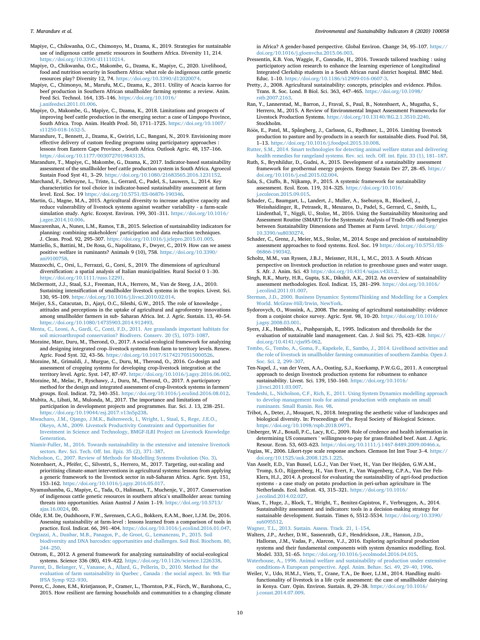- <span id="page-10-36"></span>Mapiye, C., Chikwanha, O.C., Chimonyo, M., Dzama, K., 2019. Strategies for sustainable use of indigenous cattle genetic resources in Southern Africa. Diversity 11, 214. <https://doi.org/10.3390/d11110214>.
- <span id="page-10-11"></span>Mapiye, O., Chikwanha, O.C., Makombe, G., Dzama, K., Mapiye, C., 2020. Livelihood, food and nutrition security in Southern Africa: what role do indigenous cattle genetic resources play? Diversity 12, 74. [https://doi.org/10.3390/d12020074.](https://doi.org/10.3390/d12020074)
- <span id="page-10-19"></span>Mapiye, C., Chimonyo, M., Marufu, M.C., Dzama, K., 2011. Utility of Acacia karroo for beef production in Southern African smallholder farming systems: a review. Anim. Feed Sci. Technol. 164, <sup>135</sup>–146. [https://doi.org/10.1016/](https://doi.org/10.1016/j.anifeedsci.2011.01.006) [j.anifeedsci.2011.01.006.](https://doi.org/10.1016/j.anifeedsci.2011.01.006)
- <span id="page-10-6"></span>Mapiye, O., Makombe, G., Mapiye, C., Dzama, K., 2018. Limitations and prospects of improving beef cattle production in the emerging sector: a case of Limpopo Province, South Africa. Trop. Anim. Health Prod. 50, <sup>1711</sup>–1725. [https://doi.org/10.1007/](https://doi.org/10.1007/s11250-018-1632-5) [s11250-018-1632-5.](https://doi.org/10.1007/s11250-018-1632-5)
- <span id="page-10-29"></span>Marandure, T., Bennett, J., Dzama, K., Gwiriri, L.C., Bangani, N., 2019. Envisioning more effective delivery of custom feeding programs using participatory approaches lessons from Eastern Cape Province , South Africa. Outlook Agric. 48, <sup>157</sup>–166. <https://doi.org/10.1177/0030727019843135>.
- <span id="page-10-5"></span>Marandure, T., Mapiye, C., Makombe, G., Dzama, K., 2017. Indicator-based sustainability assessment of the smallholder beef cattle production system in South Africa. Agroecol Sustain Food Syst 41, <sup>3</sup>–29. <https://doi.org/10.1080/21683565.2016.1231152>.
- <span id="page-10-23"></span>Marchand, F., Debruyne, L., Triste, L., Gerrard, C., Padel, S., Lauwers, L., 2014. Key characteristics for tool choice in indicator-based sustainability assessment at farm level. Ecol. Soc. 19 <https://doi.org/10.5751/ES-06876-190346>.
- <span id="page-10-52"></span>Martin, G., Magne, M.A., 2015. Agricultural diversity to increase adaptive capacity and reduce vulnerability of livestock systems against weather variability - a farm-scale simulation study. Agric. Ecosyst. Environ. 199, 301-311. [https://doi.org/10.1016/](https://doi.org/10.1016/j.agee.2014.10.006) [j.agee.2014.10.006](https://doi.org/10.1016/j.agee.2014.10.006).
- <span id="page-10-21"></span>Mascarenhas, A., Nunes, L.M., Ramos, T.B., 2015. Selection of sustainability indicators for planning: combining stakeholders' participation and data reduction techniques. J. Clean. Prod. 92, <sup>295</sup>–307. <https://doi.org/10.1016/j.jclepro.2015.01.005>.
- <span id="page-10-32"></span>Mattiello, S., Battini, M., De Rosa, G., Napolitano, F., Dwyer, C., 2019. How can we assess positive welfare in ruminants? Animals 9 (10), 758. [https://doi.org/10.3390/](https://doi.org/10.3390/ani9100758) [ani9100758](https://doi.org/10.3390/ani9100758).
- <span id="page-10-45"></span>Mazzocchi, C., Orsi, L., Ferrazzi, G., Corsi, S., 2019. The dimensions of agricultural diversification: <sup>a</sup> spatial analysis of Italian municipalities. Rural Sociol <sup>0</sup> <sup>1</sup>–30. [https://doi.org/10.1111/ruso.12291.](https://doi.org/10.1111/ruso.12291)
- <span id="page-10-12"></span>McDermott, J.J., Staal, S.J., Freeman, H.A., Herrero, M., Van de Steeg, J.A., 2010. Sustaining intensification of smallholder livestock systems in the tropics. Livest. Sci. 130, <sup>95</sup>–109. <https://doi.org/10.1016/j.livsci.2010.02.014>.
- <span id="page-10-31"></span>Meijer, S.S., Catacutan, D., Ajayi, O.C., Sileshi, G.W., 2015. The role of knowledge , attitudes and perceptions in the uptake of agricultural and agroforestry innovations among smallholder farmers in sub- Saharan Africa. Int. J. Agric. Sustain. 13, <sup>40</sup>–54. [https://doi.org/10.1080/14735903.2014.912493.](https://doi.org/10.1080/14735903.2014.912493)
- <span id="page-10-38"></span>Menta, C., Leoni, A., Gardi, C., Conti, F.D., 2011. Are [grasslands](http://refhub.elsevier.com/S2665-9727(20)30040-4/sref64) important habitats for soil [microarthropod](http://refhub.elsevier.com/S2665-9727(20)30040-4/sref64) conservation? Biodivers. Conserv. <sup>20</sup> (5), <sup>1073</sup>–[1087](http://refhub.elsevier.com/S2665-9727(20)30040-4/sref64).
- <span id="page-10-0"></span>Moraine, Marc, Duru, M., Therond, O., 2017. A social-ecological framework for analyzing and designing integrated crop–livestock systems from farm to territory levels. Renew. Agric. Food Syst. 32, <sup>43</sup>–56. [https://doi.org/10.1017/S1742170515000526.](https://doi.org/10.1017/S1742170515000526)
- <span id="page-10-15"></span>Moraine, M., Grimaldi, J., Murgue, C., Duru, M., Therond, O., 2016. Co-design and assessment of cropping systems for developing crop-livestock integration at the territory level. Agric. Syst. 147, <sup>87</sup>–97. [https://doi.org/10.1016/j.agsy.2016.06.002.](https://doi.org/10.1016/j.agsy.2016.06.002)
- <span id="page-10-28"></span>Moraine, M., Melac, P., Ryschawy, J., Duru, M., Therond, O., 2017. A participatory method for the design and integrated assessment of crop-livestock systems in farmers' groups. Ecol. Indicat. 72, <sup>340</sup>–351. [https://doi.org/10.1016/j.ecolind.2016.08.012.](https://doi.org/10.1016/j.ecolind.2016.08.012)
- <span id="page-10-30"></span>Mubita, A., Libati, M., Mulonda, M., 2017. The importance and limitations of participation in development projects and programmes. Eur. Sci. J. 13, <sup>238</sup>–251. [https://doi.org/10.19044/esj.2017.v13n5p238.](https://doi.org/10.19044/esj.2017.v13n5p238)
- <span id="page-10-13"></span>Mwacharo, J.M., Ojango, J.M.K., [Baltenweck,](http://refhub.elsevier.com/S2665-9727(20)30040-4/sref70) I., Wright, I., Staal, S., Rege, J.E.O., Okeyo, A.M., 2009. Livestock Productivity Constraints and [Opportunities](http://refhub.elsevier.com/S2665-9727(20)30040-4/sref70) for Investment in Science and [Technology,](http://refhub.elsevier.com/S2665-9727(20)30040-4/sref70) BMGF-ILRI Project on Livestock Knowledge **Generation**
- <span id="page-10-34"></span>[Niamir-Fuller,](http://refhub.elsevier.com/S2665-9727(20)30040-4/sref72) M., 2016. Towards sustainability in the extensive and intensive livestock [sectors.](http://refhub.elsevier.com/S2665-9727(20)30040-4/sref72) Rev. Sci. Tech. Off. Int. Epiz. <sup>35</sup> (2), <sup>371</sup>–[387.](http://refhub.elsevier.com/S2665-9727(20)30040-4/sref72)
- <span id="page-10-50"></span>[Nicholson,](http://refhub.elsevier.com/S2665-9727(20)30040-4/sref73) C., 2007. Review of Methods for Modelling Systems Evolution (No. 3).
- <span id="page-10-8"></span>Notenbaert, A., Pfeifer, C., Silvestri, S., Herrero, M., 2017. Targeting, out-scaling and prioritising climate-smart interventions in agricultural systems: lessons from applying a generic framework to the livestock sector in sub-Saharan Africa. Agric. Syst. 151, <sup>153</sup>–162. [https://doi.org/10.1016/j.agsy.2016.05.017.](https://doi.org/10.1016/j.agsy.2016.05.017)
- <span id="page-10-10"></span>Nyamushamba, G., Mapiye, C., Tada, O., Halimani, T., Muchenje, V., 2017. Conservation of indigenous cattle genetic resources in southern africa'<sup>s</sup> smallholder areas: turning threats into opportunities. Asian Austral J Anim 1-19. https://doi.org/10.5713 [ajas.16.0024](https://doi.org/10.5713/ajas.16.0024), 00.
- <span id="page-10-3"></span>Olde, E.M. De, Oudshoorn, F.W., Sørensen, C.A.G., Bokkers, E.A.M., Boer, I.J.M. De, 2016. Assessing sustainability at farm-level : lessons learned from a comparison of tools in practice. Ecol. Indicat. 66, <sup>391</sup>–404. [https://doi.org/10.1016/j.ecolind.2016.01.047.](https://doi.org/10.1016/j.ecolind.2016.01.047)
- <span id="page-10-37"></span>Orgiazzi, A., Dunbar, M.B., Panagos, P., de Groot, G., [Lemanceau,](http://refhub.elsevier.com/S2665-9727(20)30040-4/sref77) P., 2015. Soil biodiversity and DNA barcodes: [opportunities](http://refhub.elsevier.com/S2665-9727(20)30040-4/sref77) and challenges. Soil Biol. Biochem. 80, [244](http://refhub.elsevier.com/S2665-9727(20)30040-4/sref77)–[250](http://refhub.elsevier.com/S2665-9727(20)30040-4/sref77).
- <span id="page-10-53"></span>Ostrom, E., 2012. A general framework for analyzing sustainability of social-ecological systems. Science <sup>336</sup> (80), <sup>419</sup>–422. [https://doi.org/10.1126/science.1226338.](https://doi.org/10.1126/science.1226338)
- <span id="page-10-22"></span> [Parent,](http://refhub.elsevier.com/S2665-9727(20)30040-4/sref79) D., Belanger, V., [Vanasse,](http://refhub.elsevier.com/S2665-9727(20)30040-4/sref79) A., Allard, G., Pellerin, D., 2010. Method for the evaluation of farm [sustainability](http://refhub.elsevier.com/S2665-9727(20)30040-4/sref79) in Quebec , Canada : the social aspect. In: 9th Eur
- IFSA [Symp](http://refhub.elsevier.com/S2665-9727(20)30040-4/sref79) <sup>922</sup>–[930](http://refhub.elsevier.com/S2665-9727(20)30040-4/sref79).
- <span id="page-10-14"></span>Perez, C., Jones, E.M., Kristjanson, P., Cramer, L., Thornton, P.K., Förch, W., Barahona, C., 2015. How resilient are farming households and communities to a changing climate

in Africa? <sup>A</sup> gender-based perspective. Global Environ. Change 34, <sup>95</sup>–107. [https://](https://doi.org/10.1016/j.gloenvcha.2015.06.003) [doi.org/10.1016/j.gloenvcha.2015.06.003](https://doi.org/10.1016/j.gloenvcha.2015.06.003).

- <span id="page-10-41"></span>Pressentin, K.B. Von, Waggie, F., Conradie, H., 2016. Towards tailored teaching : using participatory action research to enhance the learning experience of Longitudinal Integrated Clerkship students in a South African rural district hospital. BMC Med. Educ. <sup>1</sup>–10. [https://doi.org/10.1186/s12909-016-0607-3.](https://doi.org/10.1186/s12909-016-0607-3)
- <span id="page-10-18"></span>Pretty, J., 2008. Agricultural sustainability: concepts, principles and evidence. Philos. Trans. R. Soc. Lond. <sup>B</sup> Biol. Sci. 363, <sup>447</sup>–465. [https://doi.org/10.1098/](https://doi.org/10.1098/rstb.2007.2163) [rstb.2007.2163](https://doi.org/10.1098/rstb.2007.2163).
- <span id="page-10-27"></span>Ran, Y., Lannerstad, M., Barron, J., Fraval, S., Paul, B., Notenbaert, A., Mugatha, S., Herrero, M., 2015. A Review of Environmental Impact Assessment Frameworks for Livestock Production Systems. <https://doi.org/10.13140/RG.2.1.3510.2240>. Stockholm.
- <span id="page-10-1"></span>Röös, E., Patel, M., Spångberg, J., Carlsson, G., Rydhmer, L., 2016. Limiting livestock production to pasture and by-products in a search for sustainable diets. Food Pol. 58, <sup>1</sup>–13. <https://doi.org/10.1016/j.foodpol.2015.10.008>.
- <span id="page-10-35"></span>Rutter, S.M., 2014. Smart [technologies](http://refhub.elsevier.com/S2665-9727(20)30040-4/sref85) for detecting animal welfare status and delivering health remedies for [rangeland](http://refhub.elsevier.com/S2665-9727(20)30040-4/sref85) systems. Rev. sci. tech. Off. int. Epiz. <sup>33</sup> (1), <sup>181</sup>–[187.](http://refhub.elsevier.com/S2665-9727(20)30040-4/sref85)
- <span id="page-10-26"></span>Ruth, S., Brynhildur, D., Gudni, A., 2015. Development of a sustainability assessment framework for geothermal energy projects. Energy Sustain Dev 27, <sup>28</sup>–45. [https://](https://doi.org/10.1016/j.esd.2015.02.004) [doi.org/10.1016/j.esd.2015.02.004](https://doi.org/10.1016/j.esd.2015.02.004).
- <span id="page-10-24"></span>Sala, S., Ciuffo, B., Nijkamp, P., 2015. A systemic framework for sustainability assessment. Ecol. Econ. 119, <sup>314</sup>–325. [https://doi.org/10.1016/](https://doi.org/10.1016/j.ecolecon.2015.09.015) [j.ecolecon.2015.09.015](https://doi.org/10.1016/j.ecolecon.2015.09.015).
- <span id="page-10-25"></span> Weisshaidinger, R., Petrasek, R., Meszaros, D., Padel, S., Gerrard, C., Smith, L., Schader, C., Baumgart, L., Landert, J., Muller, A., Ssebunya, B., Blockeel, J., Lindenthal, T., Niggli, U., Stolze, M., 2016. Using the Sustainability Monitoring and Assessment Routine (SMART) for the Systematic Analysis of Trade-Offs and Synergies between Sustainability Dimensions and Themes at Farm Level. [https://doi.org/](https://doi.org/10.3390/su8030274) [10.3390/su8030274](https://doi.org/10.3390/su8030274).
- <span id="page-10-44"></span>Schader, C., Grenz, J., Meier, M.S., Stolze, M., 2014. Scope and precision of sustainability assessment approaches to food systems. Ecol. Soc. 19 [https://doi.org/10.5751/ES-](https://doi.org/10.5751/ES-06866-190342)[06866-190342.](https://doi.org/10.5751/ES-06866-190342)
- <span id="page-10-17"></span>Scholtz, M.M., van Ryssen, J.B.J., Meissner, H.H., L, M.C., 2013. A South African perspective on livestock production in relation to greenhouse gases and water usage. S. Afr. J. Anim. Sci. 43 <https://doi.org/10.4314/sajas.v43i3.2>.
- <span id="page-10-4"></span>Singh, R.K., Murty, H.R., Gupta, S.K., Dikshit, A.K., 2012. An overview of sustainability assessment methodologies. Ecol. Indicat. 15, <sup>281</sup>–299. [https://doi.org/10.1016/](https://doi.org/10.1016/j.ecolind.2011.01.007) [j.ecolind.2011.01.007](https://doi.org/10.1016/j.ecolind.2011.01.007).
- <span id="page-10-43"></span>Sterman, J.D., 2000. Business Dynamics: [SystemsThinking](http://refhub.elsevier.com/S2665-9727(20)30040-4/sref93) and Modelling for a Complex World. [McGraw-Hill/Irwin,](http://refhub.elsevier.com/S2665-9727(20)30040-4/sref93) NewYork.
- <span id="page-10-42"></span>Sydorovych, O., Wossink, A., 2008. The meaning of agricultural sustainability: evidence from <sup>a</sup> conjoint choice survey. Agric. Syst. 98, <sup>10</sup>–20. [https://doi.org/10.1016/](https://doi.org/10.1016/j.agsy.2008.03.001) [j.agsy.2008.03.001.](https://doi.org/10.1016/j.agsy.2008.03.001)
- <span id="page-10-51"></span>Syers, J.K., Hamblin, A., Pushparajah, E., 1995. Indicators and thresholds for the evaluation of sustainable land management. Can. J. Soil Sci. 75, <sup>423</sup>–428. [https://](https://doi.org/10.4141/cjss95-062) [doi.org/10.4141/cjss95-062.](https://doi.org/10.4141/cjss95-062)
- <span id="page-10-9"></span>Tembo, G., Tembo, A., Goma, F., Kapekele, E., Sambo, J., 2014. [Livelihood](http://refhub.elsevier.com/S2665-9727(20)30040-4/sref96) activities and the role of livestock in smallholder farming [communities](http://refhub.elsevier.com/S2665-9727(20)30040-4/sref96) of southern Zambia. Open J. [Soc.](http://refhub.elsevier.com/S2665-9727(20)30040-4/sref96) Sci. 2, <sup>299</sup>–[307](http://refhub.elsevier.com/S2665-9727(20)30040-4/sref96).
- <span id="page-10-39"></span>Ten-Napel, J., van der Veen, A.A., Oosting, S.J., Koerkamp, P.W.G.G., 2011. A conceptual approach to design livestock production systems for robustness to enhance sustainability. Livest. Sci. 139, <sup>150</sup>–160. [https://doi.org/10.1016/](https://doi.org/10.1016/j.livsci.2011.03.007) [j.livsci.2011.03.007](https://doi.org/10.1016/j.livsci.2011.03.007).
- <span id="page-10-49"></span>Tendeshi, L., [Nicholson,](http://refhub.elsevier.com/S2665-9727(20)30040-4/sref98) C.F., Rich, E., 2011. Using System Dynamics modelling approach to develop [management](http://refhub.elsevier.com/S2665-9727(20)30040-4/sref98) tools for animal production with emphasis on small [ruminants.](http://refhub.elsevier.com/S2665-9727(20)30040-4/sref98) Small Rumin. Res. 98.
- <span id="page-10-20"></span>Tribot, A., Deter, J., Mouquet, N., 2018. Integrating the aesthetic value of landscapes and biological diversity. In: Proceedings of the Royal Society of Biological Science. <https://doi.org/10.1098/rspb.2018.0971>.
- <span id="page-10-16"></span>Umberger, W.J., Boxall, P.C., Lacy, R.C., 2009. Role of credence and health information in determining US consumers ' willingness-to-pay for grass-finished beef. Aust. J. Agric. Resour. Econ. 53, <sup>603</sup>–623. <https://doi.org/10.1111/j.1467-8489.2009.00466.x>.
- <span id="page-10-47"></span>Vagias, W., 2006. Likert-type scale response anchors. Clemson Int Inst Tour <sup>3</sup>–4. [https://](https://doi.org/10.1525/auk.2008.125.1.225) [doi.org/10.1525/auk.2008.125.1.225.](https://doi.org/10.1525/auk.2008.125.1.225)
- <span id="page-10-46"></span>Van Asselt, E.D., Van Bussel, L.G.J., Van Der Voet, H., Van Der Heijden, G.W.A.M., Tromp, S.O., Rijgersberg, H., Van Evert, F., Van Wagenberg, C.P.A., Van Der Fels-Klerx, H.J., 2014. A protocol for evaluating the sustainability of agri-food production systems - a case study on potato production in peri-urban agriculture in The Netherlands. Ecol. Indicat. 43, <sup>315</sup>–321. [https://doi.org/10.1016/](https://doi.org/10.1016/j.ecolind.2014.02.027) [j.ecolind.2014.02.027.](https://doi.org/10.1016/j.ecolind.2014.02.027)
- <span id="page-10-2"></span> Waas, T., Huge, J., Block, T., Wright, T., Benitez-Capistros, F., Verbruggen, A., 2014. Sustainability assessment and indicators: tools in a decision-making strategy for sustainable development. Sustain. Times 6, <sup>5512</sup>–5534. [https://doi.org/10.3390/](https://doi.org/10.3390/su6095512) [su6095512.](https://doi.org/10.3390/su6095512)

<span id="page-10-7"></span>[Wagner,](http://refhub.elsevier.com/S2665-9727(20)30040-4/sref105) T.L., 2013. Sustain. Assess. Track. 21, <sup>1</sup>–[154](http://refhub.elsevier.com/S2665-9727(20)30040-4/sref105).

- <span id="page-10-48"></span>Walters, J.P., Archer, D.W., Sassenrath, G.F., Hendrickson, J.R., Hanson, J.D., Halloran, J.M., Vadas, P., Alarcon, V.J., 2016. Exploring agricultural production systems and their fundamental components with system dynamics modelling. Ecol. Model. 333, <sup>51</sup>–65. <https://doi.org/10.1016/j.ecolmodel.2016.04.015>.
- <span id="page-10-33"></span>Waterhouse, A., 1996. Animal welfare and [sustainability](http://refhub.elsevier.com/S2665-9727(20)30040-4/sref107) of production under extensive [conditions-A](http://refhub.elsevier.com/S2665-9727(20)30040-4/sref107) European perspective. Appl. Anim. Behav. Sci. 49, <sup>29</sup>–40, [1996](http://refhub.elsevier.com/S2665-9727(20)30040-4/sref107).
- <span id="page-10-40"></span>Weiler, V., Udo, H.M.J., Viets, T., Crane, T.A., De Boer, I.J.M., 2014. Handling multifunctionality of livestock in a life cycle assessment: the case of smallholder dairying in Kenya. Curr. Opin. Environ. Sustain. 8, <sup>29</sup>–38. [https://doi.org/10.1016/](https://doi.org/10.1016/j.cosust.2014.07.009) [j.cosust.2014.07.009.](https://doi.org/10.1016/j.cosust.2014.07.009)